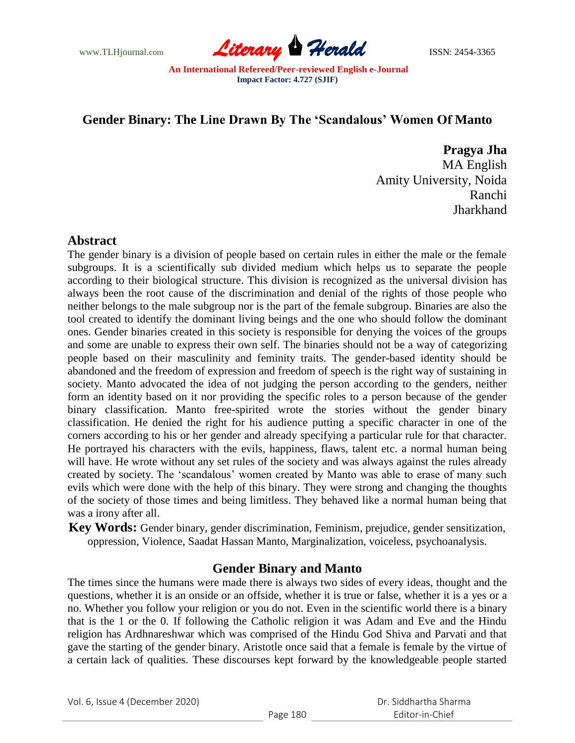

# **Gender Binary: The Line Drawn By The 'Scandalous' Women Of Manto**

**Pragya Jha**

MA English Amity University, Noida Ranchi **Jharkhand** 

### **Abstract**

The gender binary is a division of people based on certain rules in either the male or the female subgroups. It is a scientifically sub divided medium which helps us to separate the people according to their biological structure. This division is recognized as the universal division has always been the root cause of the discrimination and denial of the rights of those people who neither belongs to the male subgroup nor is the part of the female subgroup. Binaries are also the tool created to identify the dominant living beings and the one who should follow the dominant ones. Gender binaries created in this society is responsible for denying the voices of the groups and some are unable to express their own self. The binaries should not be a way of categorizing people based on their masculinity and feminity traits. The gender-based identity should be abandoned and the freedom of expression and freedom of speech is the right way of sustaining in society. Manto advocated the idea of not judging the person according to the genders, neither form an identity based on it nor providing the specific roles to a person because of the gender binary classification. Manto free-spirited wrote the stories without the gender binary classification. He denied the right for his audience putting a specific character in one of the corners according to his or her gender and already specifying a particular rule for that character. He portrayed his characters with the evils, happiness, flaws, talent etc. a normal human being will have. He wrote without any set rules of the society and was always against the rules already created by society. The "scandalous" women created by Manto was able to erase of many such evils which were done with the help of this binary. They were strong and changing the thoughts of the society of those times and being limitless. They behaved like a normal human being that was a irony after all.

**Key Words:** Gender binary, gender discrimination, Feminism, prejudice, gender sensitization, oppression, Violence, Saadat Hassan Manto, Marginalization, voiceless, psychoanalysis.

### **Gender Binary and Manto**

The times since the humans were made there is always two sides of every ideas, thought and the questions, whether it is an onside or an offside, whether it is true or false, whether it is a yes or a no. Whether you follow your religion or you do not. Even in the scientific world there is a binary that is the 1 or the 0. If following the Catholic religion it was Adam and Eve and the Hindu religion has Ardhnareshwar which was comprised of the Hindu God Shiva and Parvati and that gave the starting of the gender binary. Aristotle once said that a female is female by the virtue of a certain lack of qualities. These discourses kept forward by the knowledgeable people started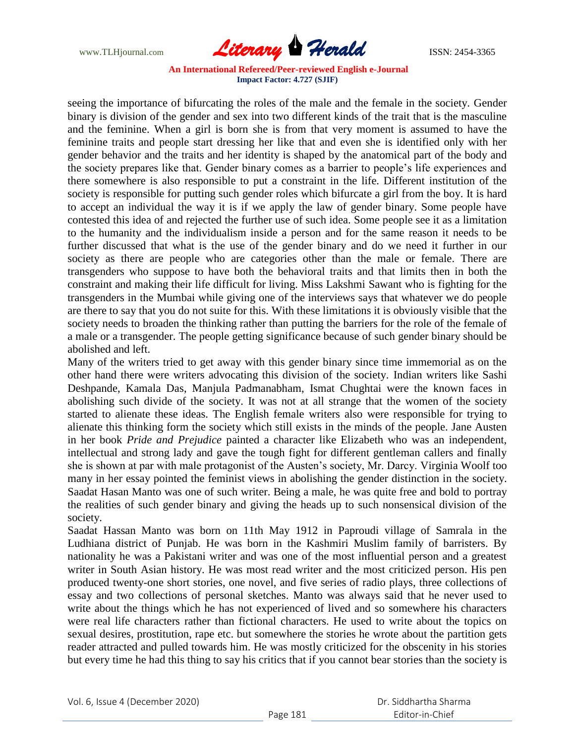www.TLHjournal.com **Literary Herald ISSN: 2454-3365** 

seeing the importance of bifurcating the roles of the male and the female in the society. Gender binary is division of the gender and sex into two different kinds of the trait that is the masculine and the feminine. When a girl is born she is from that very moment is assumed to have the feminine traits and people start dressing her like that and even she is identified only with her gender behavior and the traits and her identity is shaped by the anatomical part of the body and the society prepares like that. Gender binary comes as a barrier to people"s life experiences and there somewhere is also responsible to put a constraint in the life. Different institution of the society is responsible for putting such gender roles which bifurcate a girl from the boy. It is hard to accept an individual the way it is if we apply the law of gender binary. Some people have contested this idea of and rejected the further use of such idea. Some people see it as a limitation to the humanity and the individualism inside a person and for the same reason it needs to be further discussed that what is the use of the gender binary and do we need it further in our society as there are people who are categories other than the male or female. There are transgenders who suppose to have both the behavioral traits and that limits then in both the constraint and making their life difficult for living. Miss Lakshmi Sawant who is fighting for the transgenders in the Mumbai while giving one of the interviews says that whatever we do people are there to say that you do not suite for this. With these limitations it is obviously visible that the society needs to broaden the thinking rather than putting the barriers for the role of the female of a male or a transgender. The people getting significance because of such gender binary should be abolished and left.

Many of the writers tried to get away with this gender binary since time immemorial as on the other hand there were writers advocating this division of the society. Indian writers like Sashi Deshpande, Kamala Das, Manjula Padmanabham, Ismat Chughtai were the known faces in abolishing such divide of the society. It was not at all strange that the women of the society started to alienate these ideas. The English female writers also were responsible for trying to alienate this thinking form the society which still exists in the minds of the people. Jane Austen in her book *Pride and Prejudice* painted a character like Elizabeth who was an independent, intellectual and strong lady and gave the tough fight for different gentleman callers and finally she is shown at par with male protagonist of the Austen"s society, Mr. Darcy. Virginia Woolf too many in her essay pointed the feminist views in abolishing the gender distinction in the society. Saadat Hasan Manto was one of such writer. Being a male, he was quite free and bold to portray the realities of such gender binary and giving the heads up to such nonsensical division of the society.

Saadat Hassan Manto was born on 11th May 1912 in Paproudi village of Samrala in the Ludhiana district of Punjab. He was born in the Kashmiri Muslim family of barristers. By nationality he was a Pakistani writer and was one of the most influential person and a greatest writer in South Asian history. He was most read writer and the most criticized person. His pen produced twenty-one short stories, one novel, and five series of radio plays, three collections of essay and two collections of personal sketches. Manto was always said that he never used to write about the things which he has not experienced of lived and so somewhere his characters were real life characters rather than fictional characters. He used to write about the topics on sexual desires, prostitution, rape etc. but somewhere the stories he wrote about the partition gets reader attracted and pulled towards him. He was mostly criticized for the obscenity in his stories but every time he had this thing to say his critics that if you cannot bear stories than the society is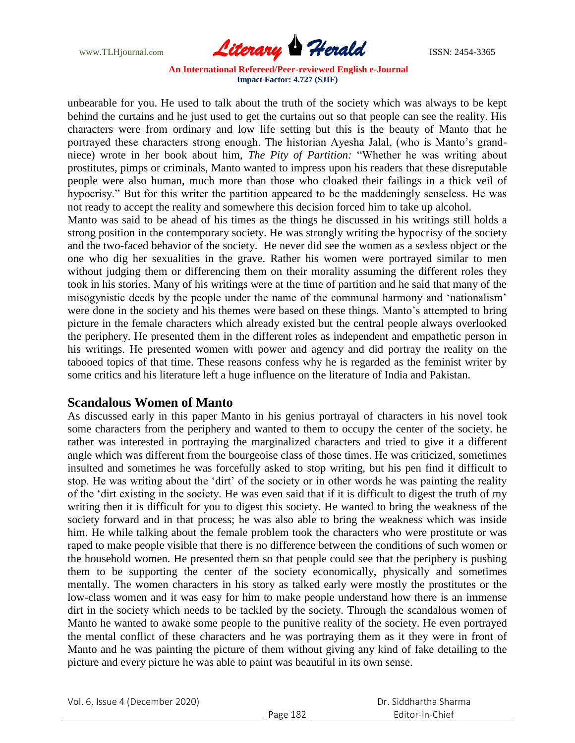www.TLHjournal.com **Literary Herald ISSN: 2454-3365** 

unbearable for you. He used to talk about the truth of the society which was always to be kept behind the curtains and he just used to get the curtains out so that people can see the reality. His characters were from ordinary and low life setting but this is the beauty of Manto that he portrayed these characters strong enough. The historian Ayesha Jalal, (who is Manto's grandniece) wrote in her book about him, *The Pity of Partition:* "Whether he was writing about prostitutes, pimps or criminals, Manto wanted to impress upon his readers that these disreputable people were also human, much more than those who cloaked their failings in a thick veil of hypocrisy." But for this writer the partition appeared to be the maddeningly senseless. He was not ready to accept the reality and somewhere this decision forced him to take up alcohol.

Manto was said to be ahead of his times as the things he discussed in his writings still holds a strong position in the contemporary society. He was strongly writing the hypocrisy of the society and the two-faced behavior of the society. He never did see the women as a sexless object or the one who dig her sexualities in the grave. Rather his women were portrayed similar to men without judging them or differencing them on their morality assuming the different roles they took in his stories. Many of his writings were at the time of partition and he said that many of the misogynistic deeds by the people under the name of the communal harmony and "nationalism" were done in the society and his themes were based on these things. Manto's attempted to bring picture in the female characters which already existed but the central people always overlooked the periphery. He presented them in the different roles as independent and empathetic person in his writings. He presented women with power and agency and did portray the reality on the tabooed topics of that time. These reasons confess why he is regarded as the feminist writer by some critics and his literature left a huge influence on the literature of India and Pakistan.

#### **Scandalous Women of Manto**

As discussed early in this paper Manto in his genius portrayal of characters in his novel took some characters from the periphery and wanted to them to occupy the center of the society. he rather was interested in portraying the marginalized characters and tried to give it a different angle which was different from the bourgeoise class of those times. He was criticized, sometimes insulted and sometimes he was forcefully asked to stop writing, but his pen find it difficult to stop. He was writing about the "dirt" of the society or in other words he was painting the reality of the "dirt existing in the society. He was even said that if it is difficult to digest the truth of my writing then it is difficult for you to digest this society. He wanted to bring the weakness of the society forward and in that process; he was also able to bring the weakness which was inside him. He while talking about the female problem took the characters who were prostitute or was raped to make people visible that there is no difference between the conditions of such women or the household women. He presented them so that people could see that the periphery is pushing them to be supporting the center of the society economically, physically and sometimes mentally. The women characters in his story as talked early were mostly the prostitutes or the low-class women and it was easy for him to make people understand how there is an immense dirt in the society which needs to be tackled by the society. Through the scandalous women of Manto he wanted to awake some people to the punitive reality of the society. He even portrayed the mental conflict of these characters and he was portraying them as it they were in front of Manto and he was painting the picture of them without giving any kind of fake detailing to the picture and every picture he was able to paint was beautiful in its own sense.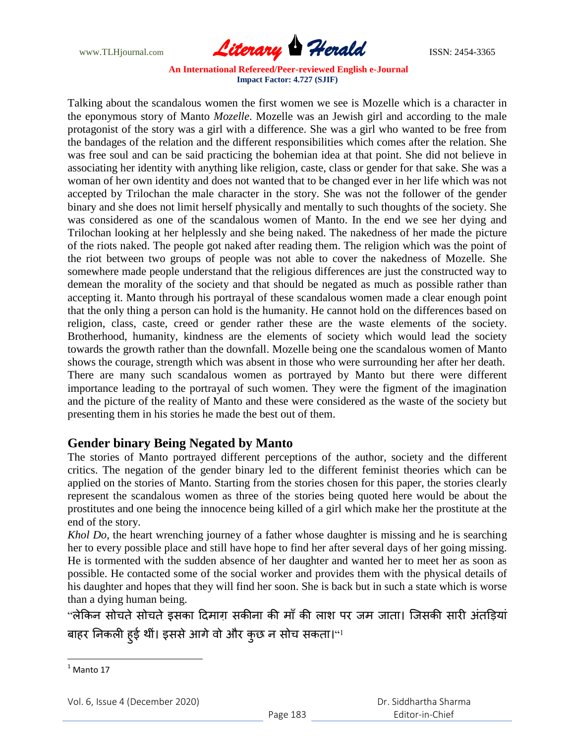www.TLHjournal.com **Literary Herald Herald ISSN: 2454-3365** 

Talking about the scandalous women the first women we see is Mozelle which is a character in the eponymous story of Manto *Mozelle*. Mozelle was an Jewish girl and according to the male protagonist of the story was a girl with a difference. She was a girl who wanted to be free from the bandages of the relation and the different responsibilities which comes after the relation. She was free soul and can be said practicing the bohemian idea at that point. She did not believe in associating her identity with anything like religion, caste, class or gender for that sake. She was a woman of her own identity and does not wanted that to be changed ever in her life which was not accepted by Trilochan the male character in the story. She was not the follower of the gender binary and she does not limit herself physically and mentally to such thoughts of the society. She was considered as one of the scandalous women of Manto. In the end we see her dying and Trilochan looking at her helplessly and she being naked. The nakedness of her made the picture of the riots naked. The people got naked after reading them. The religion which was the point of the riot between two groups of people was not able to cover the nakedness of Mozelle. She somewhere made people understand that the religious differences are just the constructed way to demean the morality of the society and that should be negated as much as possible rather than accepting it. Manto through his portrayal of these scandalous women made a clear enough point that the only thing a person can hold is the humanity. He cannot hold on the differences based on religion, class, caste, creed or gender rather these are the waste elements of the society. Brotherhood, humanity, kindness are the elements of society which would lead the society towards the growth rather than the downfall. Mozelle being one the scandalous women of Manto shows the courage, strength which was absent in those who were surrounding her after her death. There are many such scandalous women as portrayed by Manto but there were different importance leading to the portrayal of such women. They were the figment of the imagination and the picture of the reality of Manto and these were considered as the waste of the society but presenting them in his stories he made the best out of them.

## **Gender binary Being Negated by Manto**

The stories of Manto portrayed different perceptions of the author, society and the different critics. The negation of the gender binary led to the different feminist theories which can be applied on the stories of Manto. Starting from the stories chosen for this paper, the stories clearly represent the scandalous women as three of the stories being quoted here would be about the prostitutes and one being the innocence being killed of a girl which make her the prostitute at the end of the story.

*Khol Do*, the heart wrenching journey of a father whose daughter is missing and he is searching her to every possible place and still have hope to find her after several days of her going missing. He is tormented with the sudden absence of her daughter and wanted her to meet her as soon as possible. He contacted some of the social worker and provides them with the physical details of his daughter and hopes that they will find her soon. She is back but in such a state which is worse than a dying human being.

"लेकिन सोचते सोचते इसका दिमाग़ सकीना की माँ की लाश पर जम जाता। जिसकी सारी अंतड़ियां बाहर निकली हुई थीं। इससे आगे वो और कुछ न सोच सकता।''!

 $<sup>1</sup>$  Manto 17</sup>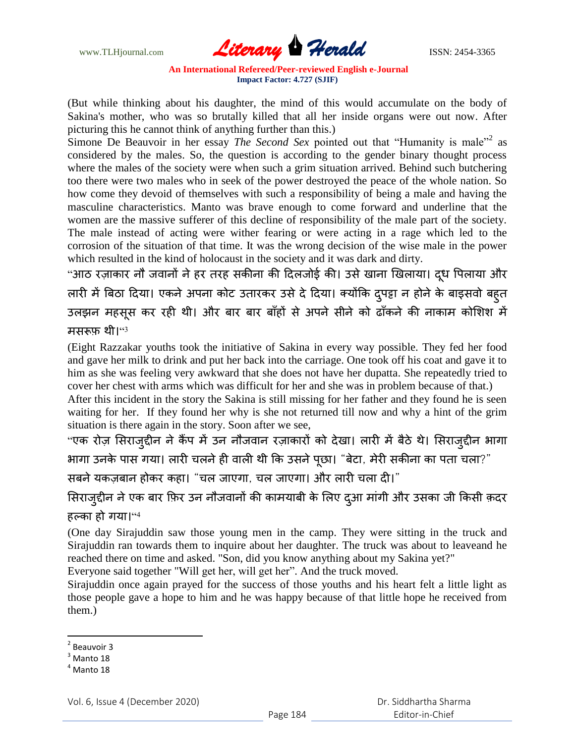www.TLHjournal.com **Literary Herald ISSN: 2454-3365** 

(But while thinking about his daughter, the mind of this would accumulate on the body of Sakina's mother, who was so brutally killed that all her inside organs were out now. After picturing this he cannot think of anything further than this.)

Simone De Beauvoir in her essay *The Second Sex* pointed out that "Humanity is male"<sup>2</sup> as considered by the males. So, the question is according to the gender binary thought process where the males of the society were when such a grim situation arrived. Behind such butchering too there were two males who in seek of the power destroyed the peace of the whole nation. So how come they devoid of themselves with such a responsibility of being a male and having the masculine characteristics. Manto was brave enough to come forward and underline that the women are the massive sufferer of this decline of responsibility of the male part of the society. The male instead of acting were wither fearing or were acting in a rage which led to the corrosion of the situation of that time. It was the wrong decision of the wise male in the power which resulted in the kind of holocaust in the society and it was dark and dirty.

"आठ रज़ाकार नौ जवानों ने हर तरह सकीना की दिलजोई की। उसे खाना खिलाया। दूध पिलाया और लारी में बिठा दिया। एकने अपना कोट उतारकर उसे दे दिया। क्योंकि द्पट्टा न होने के बाइसवो बहुत उलझन महसूस कर रही थी। और बार बार बाँहों से अपने सीने को ढाँकने की नाकाम कोशिश में मसरूफ़ थी।''<sup>3</sup>

(Eight Razzakar youths took the initiative of Sakina in every way possible. They fed her food and gave her milk to drink and put her back into the carriage. One took off his coat and gave it to him as she was feeling very awkward that she does not have her dupatta. She repeatedly tried to cover her chest with arms which was difficult for her and she was in problem because of that.)

After this incident in the story the Sakina is still missing for her father and they found he is seen waiting for her. If they found her why is she not returned till now and why a hint of the grim situation is there again in the story. Soon after we see,

"एक रोज़ सिराजुद्दीन ने कैंप में उन नौजवान रज़ाकारों को देखा। लारी में बैठे थे। सिराजुद्दीन भागा " आगा उनके पास गया। लारी चलने ही वाली थी कि उसने पूछा। "बेटा, मेरी सकीना का पता चला?

सबने यकज़बान होकर कहा। "चल जाएगा, चल जाएगा। और लारी चला दी।"

सिराजुद्दीन ने एक बार फ़िर उन नौजवानों की कामयाबी के लिए दुआ मांगी और उसका जी किसी क़दर हल्का हो गया।''<sup>4</sup>

(One day Sirajuddin saw those young men in the camp. They were sitting in the truck and Sirajuddin ran towards them to inquire about her daughter. The truck was about to leaveand he reached there on time and asked. "Son, did you know anything about my Sakina yet?"

Everyone said together "Will get her, will get her". And the truck moved.

Sirajuddin once again prayed for the success of those youths and his heart felt a little light as those people gave a hope to him and he was happy because of that little hope he received from them.)

<sup>&</sup>lt;sup>2</sup> Beauvoir 3

 $3$  Manto 18

 $^4$  Manto 18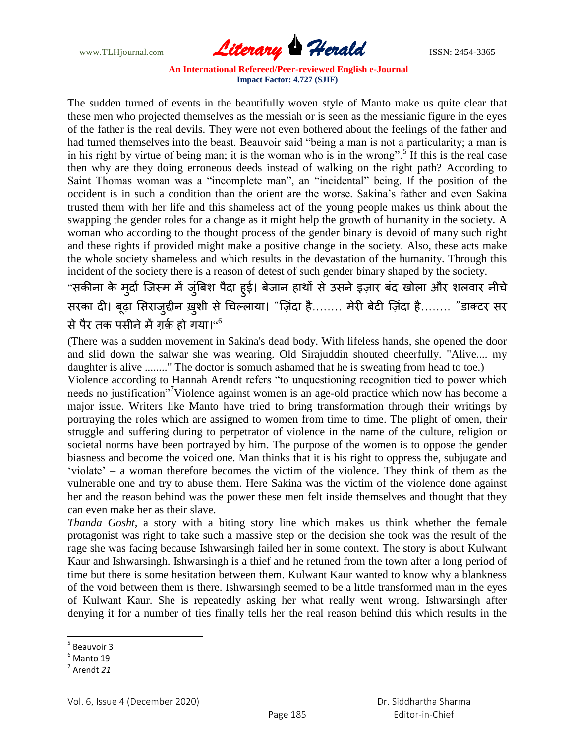www.TLHjournal.com **Literary Herald Herald ISSN: 2454-3365** 

The sudden turned of events in the beautifully woven style of Manto make us quite clear that these men who projected themselves as the messiah or is seen as the messianic figure in the eyes of the father is the real devils. They were not even bothered about the feelings of the father and had turned themselves into the beast. Beauvoir said "being a man is not a particularity; a man is in his right by virtue of being man; it is the woman who is in the wrong".<sup>5</sup> If this is the real case then why are they doing erroneous deeds instead of walking on the right path? According to Saint Thomas woman was a "incomplete man", an "incidental" being. If the position of the occident is in such a condition than the orient are the worse. Sakina"s father and even Sakina trusted them with her life and this shameless act of the young people makes us think about the swapping the gender roles for a change as it might help the growth of humanity in the society. A woman who according to the thought process of the gender binary is devoid of many such right and these rights if provided might make a positive change in the society. Also, these acts make the whole society shameless and which results in the devastation of the humanity. Through this incident of the society there is a reason of detest of such gender binary shaped by the society.

"सकीना के मुर्दा जिस्म में जुंबिश पैदा ह्ई। बेजान हाथों से उसने इज़ार बंद खोला और शलवार नीचे सरका दी। बूढ़ा सिराजुद्दीन ख़ुशी से चिल्लाया। "ज़िंदा है........ मेरी बेटी ज़िंदा है........ "डाक्टर सर से पैर तक पसीने में ग़र्क़ हो गया। $^{\mathsf{co}}$ 

(There was a sudden movement in Sakina's dead body. With lifeless hands, she opened the door and slid down the salwar she was wearing. Old Sirajuddin shouted cheerfully. "Alive.... my daughter is alive ........" The doctor is somuch ashamed that he is sweating from head to toe.)

Violence according to Hannah Arendt refers "to unquestioning recognition tied to power which needs no justification<sup>"7</sup>Violence against women is an age-old practice which now has become a major issue. Writers like Manto have tried to bring transformation through their writings by portraying the roles which are assigned to women from time to time. The plight of omen, their struggle and suffering during to perpetrator of violence in the name of the culture, religion or societal norms have been portrayed by him. The purpose of the women is to oppose the gender biasness and become the voiced one. Man thinks that it is his right to oppress the, subjugate and "violate" – a woman therefore becomes the victim of the violence. They think of them as the vulnerable one and try to abuse them. Here Sakina was the victim of the violence done against her and the reason behind was the power these men felt inside themselves and thought that they can even make her as their slave.

*Thanda Gosht,* a story with a biting story line which makes us think whether the female protagonist was right to take such a massive step or the decision she took was the result of the rage she was facing because Ishwarsingh failed her in some context. The story is about Kulwant Kaur and Ishwarsingh. Ishwarsingh is a thief and he retuned from the town after a long period of time but there is some hesitation between them. Kulwant Kaur wanted to know why a blankness of the void between them is there. Ishwarsingh seemed to be a little transformed man in the eyes of Kulwant Kaur. She is repeatedly asking her what really went wrong. Ishwarsingh after denying it for a number of ties finally tells her the real reason behind this which results in the

<sup>&</sup>lt;u>s</u><br><sup>5</sup> Beauvoir 3

 $<sup>6</sup>$  Manto 19</sup>

<sup>7</sup> Arendt *21*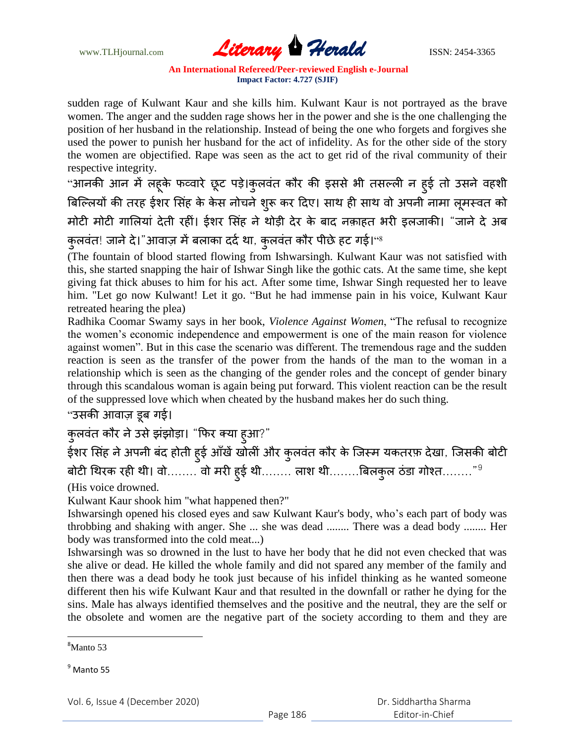www.TLHjournal.com **Literary Herald ISSN: 2454-3365** 

sudden rage of Kulwant Kaur and she kills him. Kulwant Kaur is not portrayed as the brave women. The anger and the sudden rage shows her in the power and she is the one challenging the position of her husband in the relationship. Instead of being the one who forgets and forgives she used the power to punish her husband for the act of infidelity. As for the other side of the story the women are objectified. Rape was seen as the act to get rid of the rival community of their respective integrity.

"आनकी आन में लहूके फव्वारे छूट पड़े।कुलवंत कौर की इससे भी तसल्ली न हुई तो उसने वहशी बिल्लियों की तरह ईशर सिंह के केस नोचने शुरू कर दिए। साथ ही साथ वो अपनी नामा लूमस्वत को मोटी मोटी गालियां देती रहीं। ईशर सिंह ने थोड़ी देर के बाद नक़ाहत भरी इलजाकी। "जाने दे अब कुलवंत! जाने दे।"आवाज़ में बलाका दर्द था, कुलवंत कौर पीछे हट गई।''<sup>8</sup>

(The fountain of blood started flowing from Ishwarsingh. Kulwant Kaur was not satisfied with this, she started snapping the hair of Ishwar Singh like the gothic cats. At the same time, she kept giving fat thick abuses to him for his act. After some time, Ishwar Singh requested her to leave him. "Let go now Kulwant! Let it go. "But he had immense pain in his voice, Kulwant Kaur retreated hearing the plea)

Radhika Coomar Swamy says in her book, *Violence Against Women*, "The refusal to recognize the women"s economic independence and empowerment is one of the main reason for violence against women". But in this case the scenario was different. The tremendous rage and the sudden reaction is seen as the transfer of the power from the hands of the man to the woman in a relationship which is seen as the changing of the gender roles and the concept of gender binary through this scandalous woman is again being put forward. This violent reaction can be the result of the suppressed love which when cheated by the husband makes her do such thing.

"उसकी आवाज़ डूब गई।

कुलवंत कौर ने उसे झंझोड़ा। "फिर क्या ह्आ?"

ईशर सिंह ने अपनी बंद होती ह्ई आँखें खोलीं और कुलवंत कौर के जिस्म यकतरफ़ देखा, जिसकी बोटी बोटी थिरक रही थी। वो........ वो मरी ह्ई थी........ लाश थी........बिलकुल ठंडा गोश्त........"<sup>9</sup>

(His voice drowned.

Kulwant Kaur shook him "what happened then?"

Ishwarsingh opened his closed eyes and saw Kulwant Kaur's body, who"s each part of body was throbbing and shaking with anger. She ... she was dead ........ There was a dead body ........ Her body was transformed into the cold meat...)

Ishwarsingh was so drowned in the lust to have her body that he did not even checked that was she alive or dead. He killed the whole family and did not spared any member of the family and then there was a dead body he took just because of his infidel thinking as he wanted someone different then his wife Kulwant Kaur and that resulted in the downfall or rather he dying for the sins. Male has always identified themselves and the positive and the neutral, they are the self or the obsolete and women are the negative part of the society according to them and they are

<sup>&</sup>lt;sup>8</sup>Manto 53

 $<sup>9</sup>$  Manto 55</sup>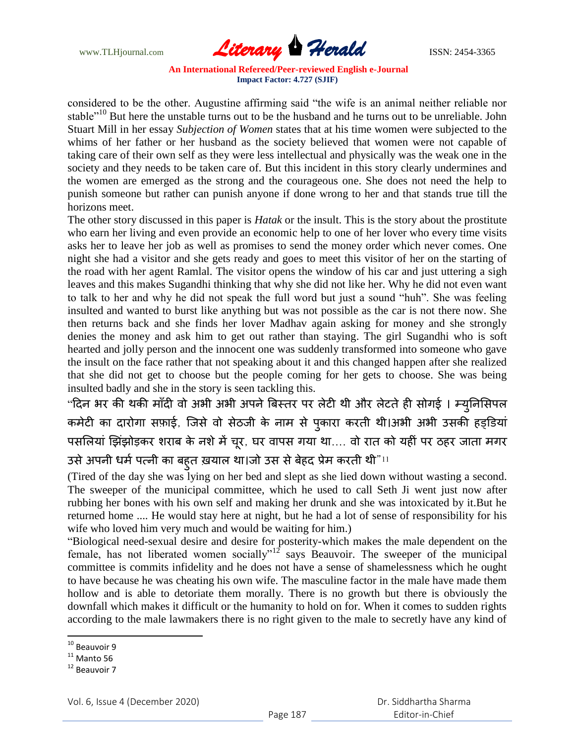www.TLHjournal.com **Literary Herald ISSN: 2454-3365** 

considered to be the other. Augustine affirming said "the wife is an animal neither reliable nor stable"<sup>10</sup> But here the unstable turns out to be the husband and he turns out to be unreliable. John Stuart Mill in her essay *Subjection of Women* states that at his time women were subjected to the whims of her father or her husband as the society believed that women were not capable of taking care of their own self as they were less intellectual and physically was the weak one in the society and they needs to be taken care of. But this incident in this story clearly undermines and the women are emerged as the strong and the courageous one. She does not need the help to punish someone but rather can punish anyone if done wrong to her and that stands true till the horizons meet.

The other story discussed in this paper is *Hatak* or the insult. This is the story about the prostitute who earn her living and even provide an economic help to one of her lover who every time visits asks her to leave her job as well as promises to send the money order which never comes. One night she had a visitor and she gets ready and goes to meet this visitor of her on the starting of the road with her agent Ramlal. The visitor opens the window of his car and just uttering a sigh leaves and this makes Sugandhi thinking that why she did not like her. Why he did not even want to talk to her and why he did not speak the full word but just a sound "huh". She was feeling insulted and wanted to burst like anything but was not possible as the car is not there now. She then returns back and she finds her lover Madhav again asking for money and she strongly denies the money and ask him to get out rather than staying. The girl Sugandhi who is soft hearted and jolly person and the innocent one was suddenly transformed into someone who gave the insult on the face rather that not speaking about it and this changed happen after she realized that she did not get to choose but the people coming for her gets to choose. She was being insulted badly and she in the story is seen tackling this.

"दिन भर की थकी माँदी वो अभी अभी अपने बिस्तर पर लेटी थी और लेटते ही सोगई । म्यूनिसिपल कमेटी का दारोगा सफ़ाई, जिसे वो सेठजी के नाम से पुकारा करती थी।अभी अभी उसकी हड्डियां पसलियां झिंझोड़कर शराब के नशे में चूर, घर वापस गया था.... वो रात को यहीं पर ठहर जाता मगर उसे अपनी धर्म पत्नी का बह्त ख़याल था।जो उस से बेहद प्रेम करती थी"।1

(Tired of the day she was lying on her bed and slept as she lied down without wasting a second. The sweeper of the municipal committee, which he used to call Seth Ji went just now after rubbing her bones with his own self and making her drunk and she was intoxicated by it.But he returned home .... He would stay here at night, but he had a lot of sense of responsibility for his wife who loved him very much and would be waiting for him.)

"Biological need-sexual desire and desire for posterity-which makes the male dependent on the female, has not liberated women socially"<sup>12</sup> says Beauvoir. The sweeper of the municipal committee is commits infidelity and he does not have a sense of shamelessness which he ought to have because he was cheating his own wife. The masculine factor in the male have made them hollow and is able to detoriate them morally. There is no growth but there is obviously the downfall which makes it difficult or the humanity to hold on for. When it comes to sudden rights according to the male lawmakers there is no right given to the male to secretly have any kind of

<sup>&</sup>lt;sup>10</sup> Beauvoir 9

 $11$  Manto 56

<sup>&</sup>lt;sup>12</sup> Beauvoir 7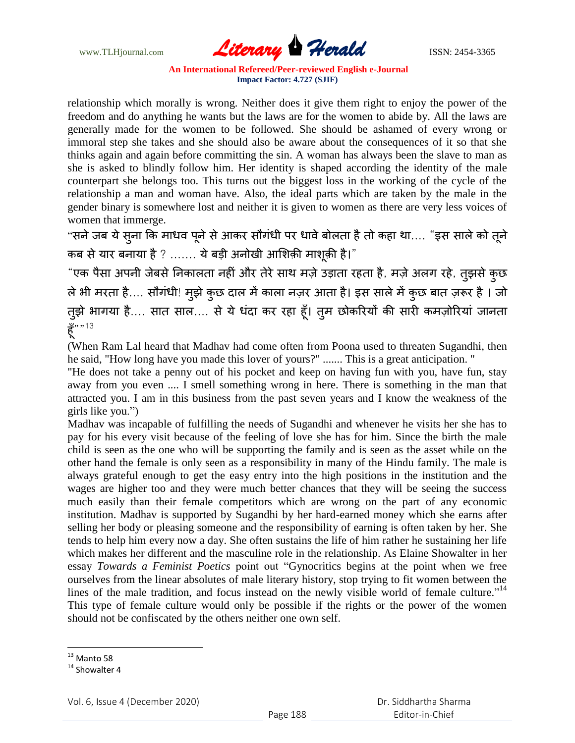www.TLHjournal.com **Literary Herald Herald ISSN: 2454-3365** 

relationship which morally is wrong. Neither does it give them right to enjoy the power of the freedom and do anything he wants but the laws are for the women to abide by. All the laws are generally made for the women to be followed. She should be ashamed of every wrong or immoral step she takes and she should also be aware about the consequences of it so that she thinks again and again before committing the sin. A woman has always been the slave to man as she is asked to blindly follow him. Her identity is shaped according the identity of the male counterpart she belongs too. This turns out the biggest loss in the working of the cycle of the relationship a man and woman have. Also, the ideal parts which are taken by the male in the gender binary is somewhere lost and neither it is given to women as there are very less voices of women that immerge.

"सने जब ये स़ना कि माधव पूने से आकर सौगंधी पर धावे बोलता है तो कहा था.... "इस साले को तूने कब से यार बनाया है ? ....... ये बड़ी अनोखी आशिक़ी माशूक़ी है।"

"एक पैसा अपनी जेबसे निकालता नहीं और तेरे साथ मज़े उड़ाता रहता है, मज़े अलग रहे, तुझसे कुछ ले भी मरता है.... सौगंधी! मुझे कुछ दाल में काला नज़र आता है। इस साले में कुछ बात ज़रूर है । जो तुझे भागया है.... सात साल.... से ये धंदा कर रहा हूँ। तुम छोकरियों की सारी कमज़ोरियां जानता हँ""<sup>13</sup>

(When Ram Lal heard that Madhav had come often from Poona used to threaten Sugandhi, then he said, "How long have you made this lover of yours?" ....... This is a great anticipation. "

"He does not take a penny out of his pocket and keep on having fun with you, have fun, stay away from you even .... I smell something wrong in here. There is something in the man that attracted you. I am in this business from the past seven years and I know the weakness of the girls like you.")

Madhav was incapable of fulfilling the needs of Sugandhi and whenever he visits her she has to pay for his every visit because of the feeling of love she has for him. Since the birth the male child is seen as the one who will be supporting the family and is seen as the asset while on the other hand the female is only seen as a responsibility in many of the Hindu family. The male is always grateful enough to get the easy entry into the high positions in the institution and the wages are higher too and they were much better chances that they will be seeing the success much easily than their female competitors which are wrong on the part of any economic institution. Madhav is supported by Sugandhi by her hard-earned money which she earns after selling her body or pleasing someone and the responsibility of earning is often taken by her. She tends to help him every now a day. She often sustains the life of him rather he sustaining her life which makes her different and the masculine role in the relationship. As Elaine Showalter in her essay *Towards a Feminist Poetics* point out "Gynocritics begins at the point when we free ourselves from the linear absolutes of male literary history, stop trying to fit women between the lines of the male tradition, and focus instead on the newly visible world of female culture."<sup>14</sup> This type of female culture would only be possible if the rights or the power of the women should not be confiscated by the others neither one own self.

l

 $13$  Manto 58

<sup>&</sup>lt;sup>14</sup> Showalter 4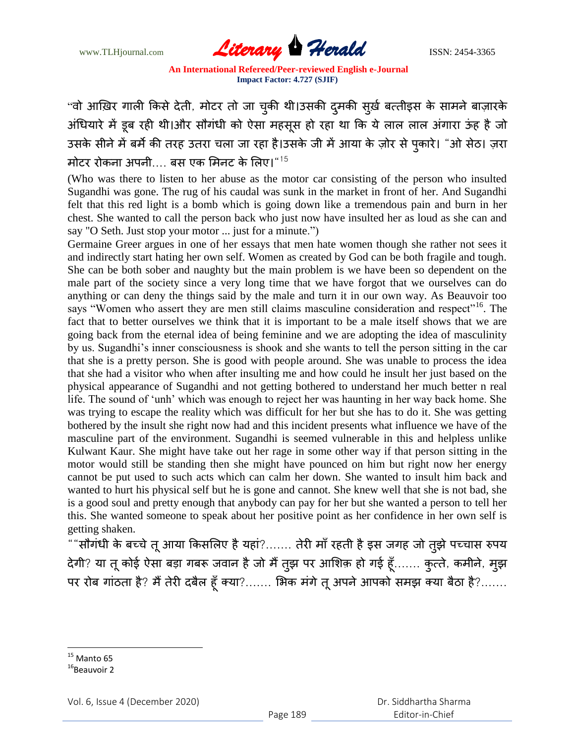www.TLHjournal.com **Literary Herald Herald ISSN: 2454-3365** 

"वो आख़िर गाली किसे देती, मोटर तो जा चुकी थी।उसकी दुमकी सुर्ख़ बत्तीइस के सामने बाज़ारके अंधियारे में डूब रही थी।और सौगंधी को ऐसा महसूस हो रहा था कि ये लाल लाल अंगारा ऊंह है जो उसके सीने में बर्मे की तरह उतरा चला जा रहा है।उसके जी में आया के ज़ोर से पुकारे। "ओ सेठ। ज़रा मोटर रोकना अपनी.... बस एक मिनट के लिए। $^{\sf n15}$ 

(Who was there to listen to her abuse as the motor car consisting of the person who insulted Sugandhi was gone. The rug of his caudal was sunk in the market in front of her. And Sugandhi felt that this red light is a bomb which is going down like a tremendous pain and burn in her chest. She wanted to call the person back who just now have insulted her as loud as she can and say "O Seth. Just stop your motor ... just for a minute.")

Germaine Greer argues in one of her essays that men hate women though she rather not sees it and indirectly start hating her own self. Women as created by God can be both fragile and tough. She can be both sober and naughty but the main problem is we have been so dependent on the male part of the society since a very long time that we have forgot that we ourselves can do anything or can deny the things said by the male and turn it in our own way. As Beauvoir too says "Women who assert they are men still claims masculine consideration and respect"<sup>16</sup>. The fact that to better ourselves we think that it is important to be a male itself shows that we are going back from the eternal idea of being feminine and we are adopting the idea of masculinity by us. Sugandhi"s inner consciousness is shook and she wants to tell the person sitting in the car that she is a pretty person. She is good with people around. She was unable to process the idea that she had a visitor who when after insulting me and how could he insult her just based on the physical appearance of Sugandhi and not getting bothered to understand her much better n real life. The sound of 'unh' which was enough to reject her was haunting in her way back home. She was trying to escape the reality which was difficult for her but she has to do it. She was getting bothered by the insult she right now had and this incident presents what influence we have of the masculine part of the environment. Sugandhi is seemed vulnerable in this and helpless unlike Kulwant Kaur. She might have take out her rage in some other way if that person sitting in the motor would still be standing then she might have pounced on him but right now her energy cannot be put used to such acts which can calm her down. She wanted to insult him back and wanted to hurt his physical self but he is gone and cannot. She knew well that she is not bad, she is a good soul and pretty enough that anybody can pay for her but she wanted a person to tell her this. She wanted someone to speak about her positive point as her confidence in her own self is getting shaken.

"" ?....... र र ज ज झ प प देगी? या तू कोई ऐसा बड़ा गबरू जवान है जो मैं तुझ पर आशिक़ हो गई हूँ....... कुत्ते, कमीने, मुझ पर रोब गांठता है? मैं तेरी दबैल हूँ क्या?....... भिक मंगे तू अपने आपको समझ क्या बैठा है?.......

l

Vol. 6, Issue 4 (December 2020)

 $15$  Manto 65

 $16$ Beauvoir 2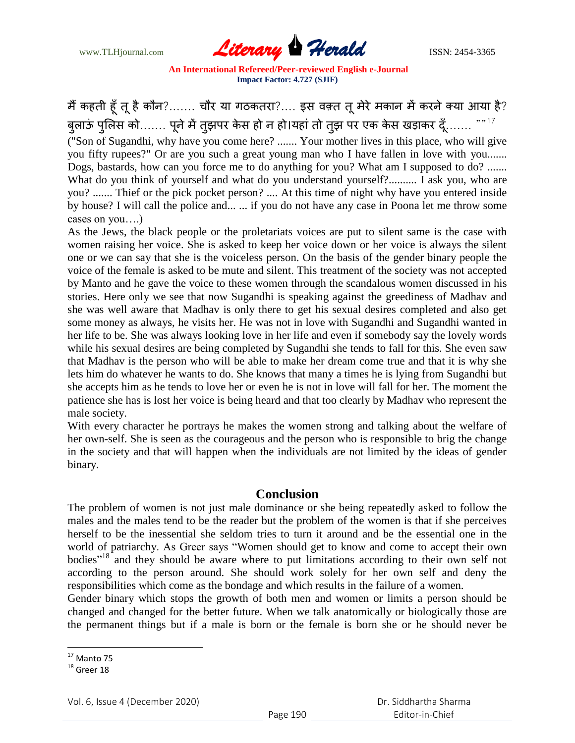

#### मैं कहती हूँ तू है कौन?....... चौर या गठकतरा?.... इस वक़्त तू मेरे मकान में करने क्या आया है? बुलाऊं पुलिस को……. पूने में तुझपर केस हो न हो।यहां तो तुझ पर एक केस खड़ाकर दूँ……. 17

("Son of Sugandhi, why have you come here? ....... Your mother lives in this place, who will give you fifty rupees?" Or are you such a great young man who I have fallen in love with you....... Dogs, bastards, how can you force me to do anything for you? What am I supposed to do? ....... What do you think of yourself and what do you understand yourself?.......... I ask you, who are you? ....... Thief or the pick pocket person? .... At this time of night why have you entered inside by house? I will call the police and... ... if you do not have any case in Poona let me throw some cases on you….)

As the Jews, the black people or the proletariats voices are put to silent same is the case with women raising her voice. She is asked to keep her voice down or her voice is always the silent one or we can say that she is the voiceless person. On the basis of the gender binary people the voice of the female is asked to be mute and silent. This treatment of the society was not accepted by Manto and he gave the voice to these women through the scandalous women discussed in his stories. Here only we see that now Sugandhi is speaking against the greediness of Madhav and she was well aware that Madhav is only there to get his sexual desires completed and also get some money as always, he visits her. He was not in love with Sugandhi and Sugandhi wanted in her life to be. She was always looking love in her life and even if somebody say the lovely words while his sexual desires are being completed by Sugandhi she tends to fall for this. She even saw that Madhav is the person who will be able to make her dream come true and that it is why she lets him do whatever he wants to do. She knows that many a times he is lying from Sugandhi but she accepts him as he tends to love her or even he is not in love will fall for her. The moment the patience she has is lost her voice is being heard and that too clearly by Madhav who represent the male society.

With every character he portrays he makes the women strong and talking about the welfare of her own-self. She is seen as the courageous and the person who is responsible to brig the change in the society and that will happen when the individuals are not limited by the ideas of gender binary.

### **Conclusion**

The problem of women is not just male dominance or she being repeatedly asked to follow the males and the males tend to be the reader but the problem of the women is that if she perceives herself to be the inessential she seldom tries to turn it around and be the essential one in the world of patriarchy. As Greer says "Women should get to know and come to accept their own bodies"<sup>18</sup> and they should be aware where to put limitations according to their own self not according to the person around. She should work solely for her own self and deny the responsibilities which come as the bondage and which results in the failure of a women.

Gender binary which stops the growth of both men and women or limits a person should be changed and changed for the better future. When we talk anatomically or biologically those are the permanent things but if a male is born or the female is born she or he should never be

l

 $17$  Manto 75

 $18$  Greer 18